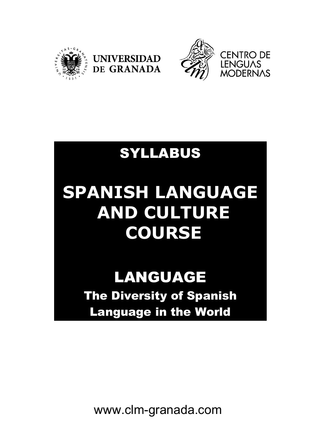



### SYLLABUS

**UNIVERSIDAD** 

DE GRANADA

# **SPANISH LANGUAGE AND CULTURE COURSE**

# LANGUAGE

The Diversity of Spanish Language in the World

www.clm-granada.com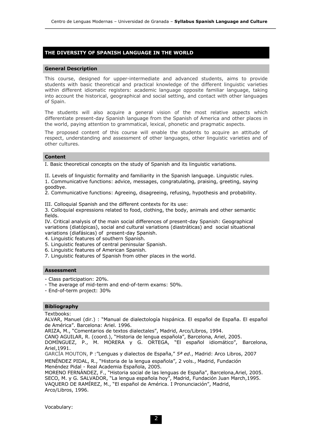### **THE DIVERSITY OF SPANISH LANGUAGE IN THE WORLD**

#### **General Description**

This course, designed for upper-intermediate and advanced students, aims to provide students with basic theoretical and practical knowledge of the different linguistic varieties within different idiomatic registers: academic language opposite familiar language, taking into account the historical, geographical and social setting, and contact with other languages of Spain.

The students will also acquire a general vision of the most relative aspects which differentiate present-day Spanish language from the Spanish of America and other places in the world, paying attention to grammatical, lexical, phonetic and pragmatic aspects.

The proposed content of this course will enable the students to acquire an attitude of respect, understanding and assessment of other languages, other linguistic varieties and of other cultures.

#### **Content**

I. Basic theoretical concepts on the study of Spanish and its linguistic variations.

II. Levels of linguistic formality and familiarity in the Spanish language. Linguistic rules. 1. Communicative functions: advice, messages, congratulating, praising, greeting, saying goodbye.

2. Communicative functions: Agreeing, disagreeing, refusing, hypothesis and probability.

III. Colloquial Spanish and the different contexts for its use:

3. Colloquial expressions related to food, clothing, the body, animals and other semantic fields.

IV. Critical analysis of the main social differences of present-day Spanish: Geographical variations (diatópicas), social and cultural variations (diastráticas) and social situational variations (diafásicas) of present-day Spanish.

4. Linguistic features of southern Spanish.

5. Linguistic features of central peninsular Spanish.

- 6. Linguistic features of American Spanish.
- 7. Linguistic features of Spanish from other places in the world.

#### **Assessment**

- Class participation: 20%.

- The average of mid-term and end-of-term exams: 50%.

- End-of-term project: 30%

#### **Bibliography**

#### Textbooks:

ALVAR, Manuel (dir.) : "Manual de dialectología hispánica. El español de España. El español de América". Barcelona: Ariel. 1996.

ARIZA, M., "Comentarios de textos dialectales", Madrid, Arco/Libros, 1994.

CANO AGUILAR, R. (coord.), "Historia de lengua española", Barcelona, Ariel, 2005. DOMÍNGUEZ, P., M. MORERA y G. ORTEGA, "El español idiomático", Barcelona,

Ariel,1991.

GARCÍA MOUTON, P :"Lenguas y dialectos de España," *5ª ed*., Madrid: Arco Libros, 2007

MENÉNDEZ PIDAL, R., "Historia de la lengua española", 2 vols., Madrid, Fundación Menéndez Pidal - Real Academia Española, 2005.

MORENO FERNÁNDEZ, F., "Historia social de las lenguas de España", Barcelona,Ariel, 2005. SECO, M. y G. SALVADOR, "La lengua española hoy", Madrid, Fundación Juan March,1995. VAQUERO DE RAMÍREZ, M., "El español de América. I Pronunciación", Madrid, Arco/Libros, 1996.